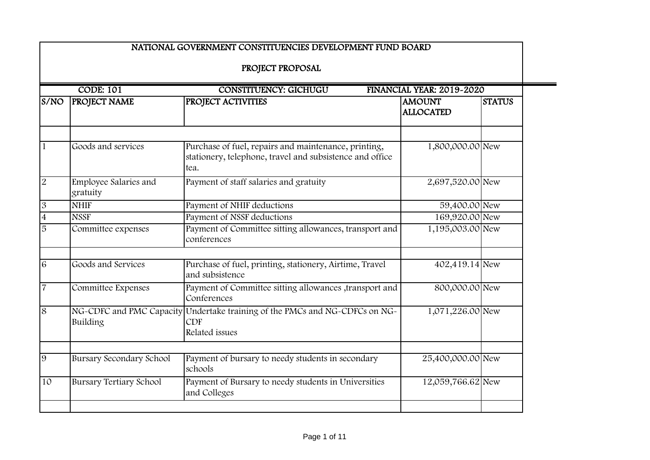|                           |                                      | NATIONAL GOVERNMENT CONSTITUENCIES DEVELOPMENT FUND BOARD                                                                |                                   |               |
|---------------------------|--------------------------------------|--------------------------------------------------------------------------------------------------------------------------|-----------------------------------|---------------|
|                           |                                      | PROJECT PROPOSAL                                                                                                         |                                   |               |
|                           | <b>CODE: 101</b>                     | <b>CONSTITUENCY: GICHUGU</b>                                                                                             | FINANCIAL YEAR: 2019-2020         |               |
| S/NO                      | <b>PROJECT NAME</b>                  | PROJECT ACTIVITIES                                                                                                       | <b>AMOUNT</b><br><b>ALLOCATED</b> | <b>STATUS</b> |
| $\mathbf{1}$              | Goods and services                   | Purchase of fuel, repairs and maintenance, printing,<br>stationery, telephone, travel and subsistence and office<br>tea. | 1,800,000.00 New                  |               |
| $\overline{2}$            | Employee Salaries and<br>gratuity    | Payment of staff salaries and gratuity                                                                                   | 2,697,520.00 New                  |               |
| $\boldsymbol{\mathrm{3}}$ | <b>NHIF</b>                          | Payment of NHIF deductions                                                                                               | 59,400.00 New                     |               |
| $\overline{4}$            | <b>NSSF</b>                          | Payment of NSSF deductions                                                                                               | 169,920.00 New                    |               |
| $\overline{5}$            | Committee expenses                   | Payment of Committee sitting allowances, transport and<br>conferences                                                    | 1,195,003.00 New                  |               |
| 6                         | Goods and Services                   | Purchase of fuel, printing, stationery, Airtime, Travel<br>and subsistence                                               | 402,419.14 New                    |               |
| $\overline{7}$            | Committee Expenses                   | Payment of Committee sitting allowances , transport and<br>Conferences                                                   | 800,000.00 New                    |               |
| $\overline{8}$            | NG-CDFC and PMC Capacity<br>Building | Undertake training of the PMCs and NG-CDFCs on NG-<br><b>CDF</b><br>Related issues                                       | 1,071,226.00 New                  |               |
| 9                         | <b>Bursary Secondary School</b>      | Payment of bursary to needy students in secondary<br>schools                                                             | 25,400,000.00 New                 |               |
| 10                        | <b>Bursary Tertiary School</b>       | Payment of Bursary to needy students in Universities<br>and Colleges                                                     | 12,059,766.62 New                 |               |
|                           |                                      |                                                                                                                          |                                   |               |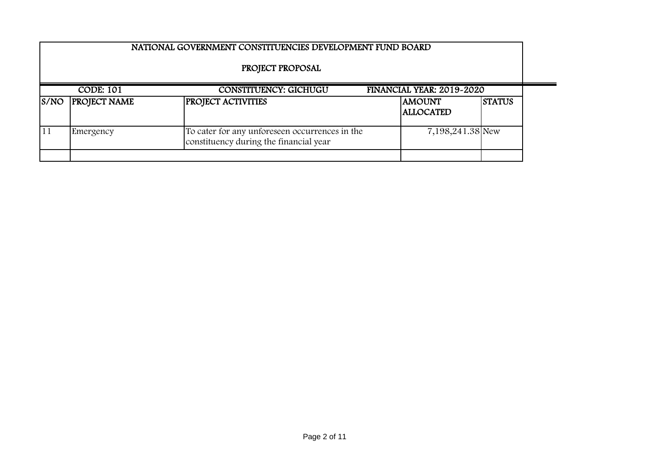|      |                     | NATIONAL GOVERNMENT CONSTITUENCIES DEVELOPMENT FUND BOARD                                |                                   |               |
|------|---------------------|------------------------------------------------------------------------------------------|-----------------------------------|---------------|
|      |                     | PROJECT PROPOSAL                                                                         |                                   |               |
|      | <b>CODE: 101</b>    | <b>CONSTITUENCY: GICHUGU</b>                                                             | FINANCIAL YEAR: 2019-2020         |               |
| S/NO | <b>PROJECT NAME</b> | <b>PROJECT ACTIVITIES</b>                                                                | <b>AMOUNT</b><br><b>ALLOCATED</b> | <b>STATUS</b> |
| 11   | Emergency           | To cater for any unforeseen occurrences in the<br>constituency during the financial year | 7,198,241.38 New                  |               |
|      |                     |                                                                                          |                                   |               |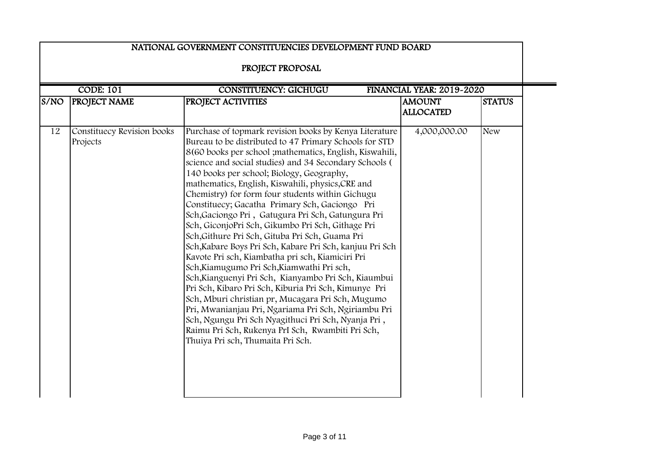|      |                                        | NATIONAL GOVERNMENT CONSTITUENCIES DEVELOPMENT FUND BOARD<br>PROJECT PROPOSAL                                                                                                                                                                                                                                                                                                                                                                                                                                                                                                                                                                                                                                                                                                                                                                                                                                                                                                                                                                                                                                                                             |                                   |               |
|------|----------------------------------------|-----------------------------------------------------------------------------------------------------------------------------------------------------------------------------------------------------------------------------------------------------------------------------------------------------------------------------------------------------------------------------------------------------------------------------------------------------------------------------------------------------------------------------------------------------------------------------------------------------------------------------------------------------------------------------------------------------------------------------------------------------------------------------------------------------------------------------------------------------------------------------------------------------------------------------------------------------------------------------------------------------------------------------------------------------------------------------------------------------------------------------------------------------------|-----------------------------------|---------------|
|      | <b>CODE: 101</b>                       | <b>CONSTITUENCY: GICHUGU</b>                                                                                                                                                                                                                                                                                                                                                                                                                                                                                                                                                                                                                                                                                                                                                                                                                                                                                                                                                                                                                                                                                                                              | FINANCIAL YEAR: 2019-2020         |               |
| S/NO | <b>PROJECT NAME</b>                    | PROJECT ACTIVITIES                                                                                                                                                                                                                                                                                                                                                                                                                                                                                                                                                                                                                                                                                                                                                                                                                                                                                                                                                                                                                                                                                                                                        | <b>AMOUNT</b><br><b>ALLOCATED</b> | <b>STATUS</b> |
| 12   | Constituecy Revision books<br>Projects | Purchase of topmark revision books by Kenya Literature<br>Bureau to be distributed to 47 Primary Schools for STD<br>8(60 books per school ; mathematics, English, Kiswahili,<br>science and social studies) and 34 Secondary Schools (<br>140 books per school; Biology, Geography,<br>mathematics, English, Kiswahili, physics, CRE and<br>Chemistry) for form four students within Gichugu<br>Constituecy; Gacatha Primary Sch, Gaciongo Pri<br>Sch, Gaciongo Pri, Gatugura Pri Sch, Gatungura Pri<br>Sch, GiconjoPri Sch, Gikumbo Pri Sch, Githage Pri<br>Sch, Githure Pri Sch, Gituba Pri Sch, Guama Pri<br>Sch, Kabare Boys Pri Sch, Kabare Pri Sch, kanjuu Pri Sch<br>Kavote Pri sch, Kiambatha pri sch, Kiamiciri Pri<br>Sch, Kiamugumo Pri Sch, Kiamwathi Pri sch,<br>Sch, Kianguenyi Pri Sch, Kianyambo Pri Sch, Kiaumbui<br>Pri Sch, Kibaro Pri Sch, Kiburia Pri Sch, Kimunye Pri<br>Sch, Mburi christian pr, Mucagara Pri Sch, Mugumo<br>Pri, Mwanianjau Pri, Ngariama Pri Sch, Ngiriambu Pri<br>Sch, Ngungu Pri Sch Nyagithuci Pri Sch, Nyanja Pri,<br>Raimu Pri Sch, Rukenya PrI Sch, Rwambiti Pri Sch,<br>Thuiya Pri sch, Thumaita Pri Sch. | 4,000,000.00                      | <b>New</b>    |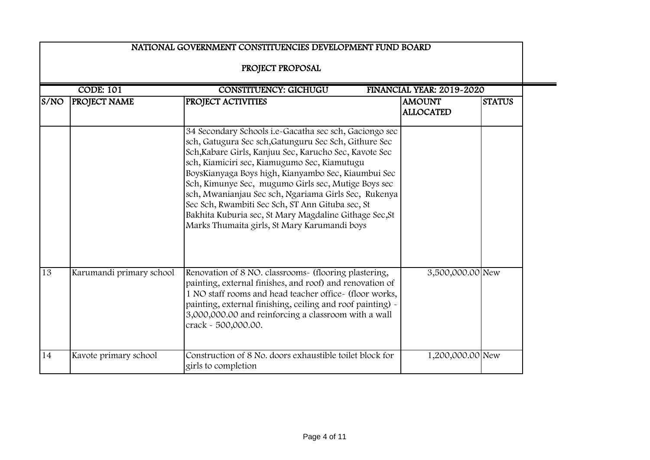|                                                                               |                          | NATIONAL GOVERNMENT CONSTITUENCIES DEVELOPMENT FUND BOARD                                                                                                                                                                                                                                                                                                                                                                                                                                                                                                     |                                   |               |  |
|-------------------------------------------------------------------------------|--------------------------|---------------------------------------------------------------------------------------------------------------------------------------------------------------------------------------------------------------------------------------------------------------------------------------------------------------------------------------------------------------------------------------------------------------------------------------------------------------------------------------------------------------------------------------------------------------|-----------------------------------|---------------|--|
|                                                                               |                          | PROJECT PROPOSAL                                                                                                                                                                                                                                                                                                                                                                                                                                                                                                                                              |                                   |               |  |
| <b>CODE: 101</b><br><b>CONSTITUENCY: GICHUGU</b><br>FINANCIAL YEAR: 2019-2020 |                          |                                                                                                                                                                                                                                                                                                                                                                                                                                                                                                                                                               |                                   |               |  |
| S/NO                                                                          | PROJECT NAME             | PROJECT ACTIVITIES                                                                                                                                                                                                                                                                                                                                                                                                                                                                                                                                            | <b>AMOUNT</b><br><b>ALLOCATED</b> | <b>STATUS</b> |  |
|                                                                               |                          | 34 Secondary Schools i.e-Gacatha sec sch, Gaciongo sec<br>sch, Gatugura Sec sch, Gatunguru Sec Sch, Githure Sec<br>Sch, Kabare Girls, Kanjuu Sec, Karucho Sec, Kavote Sec<br>sch, Kiamiciri sec, Kiamugumo Sec, Kiamutugu<br>BoysKianyaga Boys high, Kianyambo Sec, Kiaumbui Sec<br>Sch, Kimunye Sec, mugumo Girls sec, Mutige Boys sec<br>sch, Mwanianjau Sec sch, Ngariama Girls Sec, Rukenya<br>Sec Sch, Rwambiti Sec Sch, ST Ann Gituba sec, St<br>Bakhita Kuburia sec, St Mary Magdaline Githage Sec, St<br>Marks Thumaita girls, St Mary Karumandi boys |                                   |               |  |
| 13                                                                            | Karumandi primary school | Renovation of 8 NO. classrooms- (flooring plastering,<br>painting, external finishes, and roof) and renovation of<br>1 NO staff rooms and head teacher office- (floor works,<br>painting, external finishing, ceiling and roof painting) -<br>3,000,000.00 and reinforcing a classroom with a wall<br>crack - 500,000.00.                                                                                                                                                                                                                                     | 3,500,000.00 New                  |               |  |
| 14                                                                            | Kavote primary school    | Construction of 8 No. doors exhaustible toilet block for<br>girls to completion                                                                                                                                                                                                                                                                                                                                                                                                                                                                               | 1,200,000.00 New                  |               |  |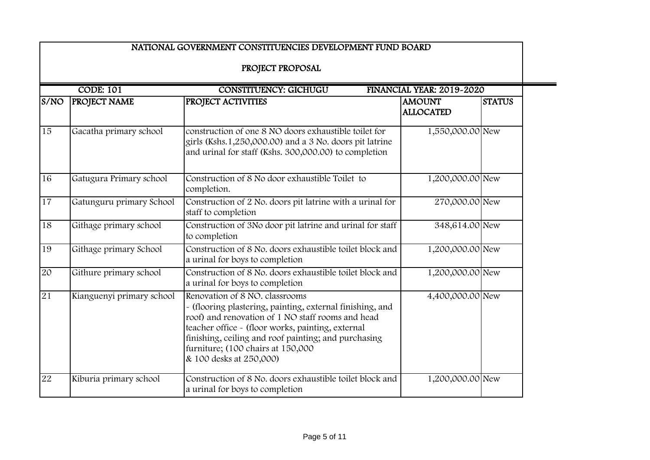|                 |                           | NATIONAL GOVERNMENT CONSTITUENCIES DEVELOPMENT FUND BOARD                                                                                                                                                                                                                                                                     |                                   |               |
|-----------------|---------------------------|-------------------------------------------------------------------------------------------------------------------------------------------------------------------------------------------------------------------------------------------------------------------------------------------------------------------------------|-----------------------------------|---------------|
|                 |                           | PROJECT PROPOSAL                                                                                                                                                                                                                                                                                                              |                                   |               |
|                 | <b>CODE: 101</b>          | <b>CONSTITUENCY: GICHUGU</b>                                                                                                                                                                                                                                                                                                  | FINANCIAL YEAR: 2019-2020         |               |
| S/NO            | <b>PROJECT NAME</b>       | PROJECT ACTIVITIES                                                                                                                                                                                                                                                                                                            | <b>AMOUNT</b><br><b>ALLOCATED</b> | <b>STATUS</b> |
| $\overline{15}$ | Gacatha primary school    | construction of one 8 NO doors exhaustible toilet for<br>girls (Kshs.1,250,000.00) and a 3 No. doors pit latrine<br>and urinal for staff (Kshs. 300,000.00) to completion                                                                                                                                                     | 1,550,000.00 New                  |               |
| $\overline{16}$ | Gatugura Primary school   | Construction of 8 No door exhaustible Toilet to<br>completion.                                                                                                                                                                                                                                                                | 1,200,000.00 New                  |               |
| $\overline{17}$ | Gatunguru primary School  | Construction of 2 No. doors pit latrine with a urinal for<br>staff to completion                                                                                                                                                                                                                                              | 270,000.00 New                    |               |
| 18              | Githage primary school    | Construction of 3No door pit latrine and urinal for staff<br>to completion                                                                                                                                                                                                                                                    | 348,614.00 New                    |               |
| 19              | Githage primary School    | Construction of 8 No. doors exhaustible toilet block and<br>a urinal for boys to completion                                                                                                                                                                                                                                   | 1,200,000.00 New                  |               |
| 20              | Githure primary school    | Construction of 8 No. doors exhaustible toilet block and<br>a urinal for boys to completion                                                                                                                                                                                                                                   | 1,200,000.00 New                  |               |
| 21              | Kianguenyi primary school | Renovation of 8 NO. classrooms<br>- (flooring plastering, painting, external finishing, and<br>roof) and renovation of 1 NO staff rooms and head<br>teacher office - (floor works, painting, external<br>finishing, ceiling and roof painting; and purchasing<br>furniture; (100 chairs at 150,000<br>& 100 desks at 250,000) | 4,400,000.00 New                  |               |
| 22              | Kiburia primary school    | Construction of 8 No. doors exhaustible toilet block and<br>a urinal for boys to completion                                                                                                                                                                                                                                   | 1,200,000.00 New                  |               |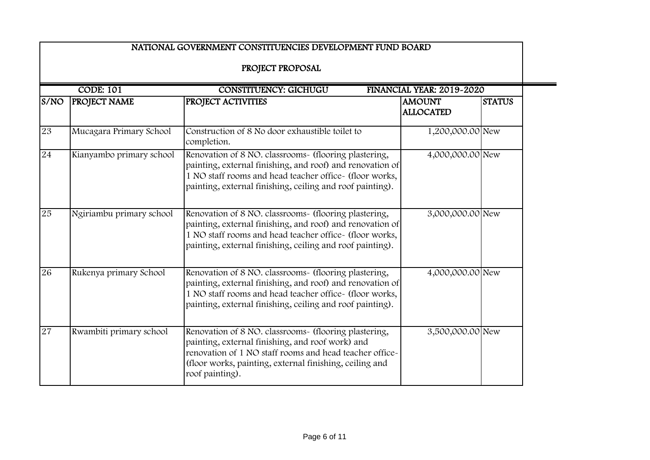|                                                                               |                          | NATIONAL GOVERNMENT CONSTITUENCIES DEVELOPMENT FUND BOARD                                                                                                                                                                                          |                                   |               |  |
|-------------------------------------------------------------------------------|--------------------------|----------------------------------------------------------------------------------------------------------------------------------------------------------------------------------------------------------------------------------------------------|-----------------------------------|---------------|--|
|                                                                               |                          | PROJECT PROPOSAL                                                                                                                                                                                                                                   |                                   |               |  |
| <b>CODE: 101</b><br><b>CONSTITUENCY: GICHUGU</b><br>FINANCIAL YEAR: 2019-2020 |                          |                                                                                                                                                                                                                                                    |                                   |               |  |
| S/NO                                                                          | <b>PROJECT NAME</b>      | PROJECT ACTIVITIES                                                                                                                                                                                                                                 | <b>AMOUNT</b><br><b>ALLOCATED</b> | <b>STATUS</b> |  |
| 23                                                                            | Mucagara Primary School  | Construction of 8 No door exhaustible toilet to<br>completion.                                                                                                                                                                                     | 1,200,000.00 New                  |               |  |
| 24                                                                            | Kianyambo primary school | Renovation of 8 NO. classrooms- (flooring plastering,<br>painting, external finishing, and roof) and renovation of<br>1 NO staff rooms and head teacher office- (floor works,<br>painting, external finishing, ceiling and roof painting).         | 4,000,000.00 New                  |               |  |
| $\overline{25}$                                                               | Ngiriambu primary school | Renovation of 8 NO. classrooms- (flooring plastering,<br>painting, external finishing, and roof) and renovation of<br>1 NO staff rooms and head teacher office- (floor works,<br>painting, external finishing, ceiling and roof painting).         | 3,000,000.00 New                  |               |  |
| $\overline{26}$                                                               | Rukenya primary School   | Renovation of 8 NO. classrooms- (flooring plastering,<br>painting, external finishing, and roof) and renovation of<br>1 NO staff rooms and head teacher office- (floor works,<br>painting, external finishing, ceiling and roof painting).         | 4,000,000.00 New                  |               |  |
| 27                                                                            | Rwambiti primary school  | Renovation of 8 NO. classrooms- (flooring plastering,<br>painting, external finishing, and roof work) and<br>renovation of 1 NO staff rooms and head teacher office-<br>(floor works, painting, external finishing, ceiling and<br>roof painting). | 3,500,000.00 New                  |               |  |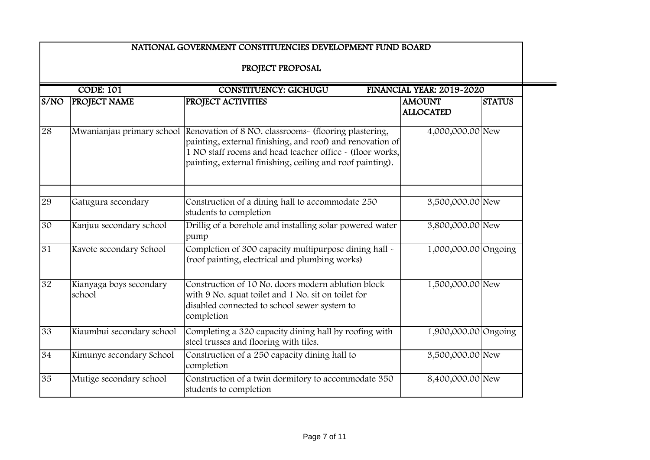|                 |                                   | NATIONAL GOVERNMENT CONSTITUENCIES DEVELOPMENT FUND BOARD                                                                                                                                                                                   |                                   |               |
|-----------------|-----------------------------------|---------------------------------------------------------------------------------------------------------------------------------------------------------------------------------------------------------------------------------------------|-----------------------------------|---------------|
|                 |                                   | PROJECT PROPOSAL                                                                                                                                                                                                                            |                                   |               |
|                 | <b>CODE: 101</b>                  | <b>CONSTITUENCY: GICHUGU</b>                                                                                                                                                                                                                | FINANCIAL YEAR: 2019-2020         |               |
| S/NO            | PROJECT NAME                      | PROJECT ACTIVITIES                                                                                                                                                                                                                          | <b>AMOUNT</b><br><b>ALLOCATED</b> | <b>STATUS</b> |
| 28              | Mwanianjau primary school         | Renovation of 8 NO. classrooms- (flooring plastering,<br>painting, external finishing, and roof) and renovation of<br>1 NO staff rooms and head teacher office ~ (floor works,<br>painting, external finishing, ceiling and roof painting). | 4,000,000.00 New                  |               |
| 29              | Gatugura secondary                | Construction of a dining hall to accommodate 250<br>students to completion                                                                                                                                                                  | 3,500,000.00 New                  |               |
| 30              | Kanjuu secondary school           | Drillig of a borehole and installing solar powered water<br>pump                                                                                                                                                                            | 3,800,000.00 New                  |               |
| $\overline{31}$ | Kavote secondary School           | Completion of 300 capacity multipurpose dining hall -<br>(roof painting, electrical and plumbing works)                                                                                                                                     | 1,000,000.00 Ongoing              |               |
| 32              | Kianyaga boys secondary<br>school | Construction of 10 No. doors modern ablution block<br>with 9 No. squat toilet and 1 No. sit on toilet for<br>disabled connected to school sewer system to<br>completion                                                                     | 1,500,000.00 New                  |               |
| 33              | Kiaumbui secondary school         | Completing a 320 capacity dining hall by roofing with<br>steel trusses and flooring with tiles.                                                                                                                                             | 1,900,000.00 Ongoing              |               |
| $\overline{34}$ | Kimunye secondary School          | Construction of a 250 capacity dining hall to<br>completion                                                                                                                                                                                 | 3,500,000.00 New                  |               |
| 35              | Mutige secondary school           | Construction of a twin dormitory to accommodate 350<br>students to completion                                                                                                                                                               | 8,400,000.00 New                  |               |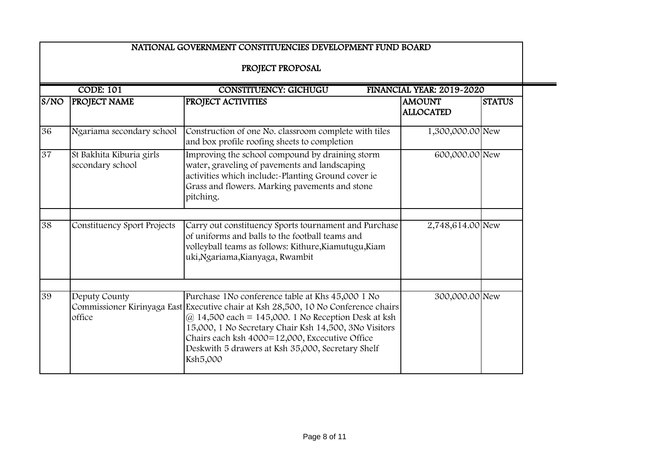|                                                                               |                                              | NATIONAL GOVERNMENT CONSTITUENCIES DEVELOPMENT FUND BOARD                                                                                                                                                                                                                                                                                                                        |                                   |               |  |
|-------------------------------------------------------------------------------|----------------------------------------------|----------------------------------------------------------------------------------------------------------------------------------------------------------------------------------------------------------------------------------------------------------------------------------------------------------------------------------------------------------------------------------|-----------------------------------|---------------|--|
|                                                                               |                                              | PROJECT PROPOSAL                                                                                                                                                                                                                                                                                                                                                                 |                                   |               |  |
| <b>CODE: 101</b><br><b>CONSTITUENCY: GICHUGU</b><br>FINANCIAL YEAR: 2019-2020 |                                              |                                                                                                                                                                                                                                                                                                                                                                                  |                                   |               |  |
| S/NO                                                                          | PROJECT NAME                                 | PROJECT ACTIVITIES                                                                                                                                                                                                                                                                                                                                                               | <b>AMOUNT</b><br><b>ALLOCATED</b> | <b>STATUS</b> |  |
| 36                                                                            | Ngariama secondary school                    | Construction of one No. classroom complete with tiles<br>and box profile roofing sheets to completion                                                                                                                                                                                                                                                                            | 1,300,000.00 New                  |               |  |
| $\overline{37}$                                                               | St Bakhita Kiburia girls<br>secondary school | Improving the school compound by draining storm<br>water, graveling of pavements and landscaping<br>activities which include:~Planting Ground cover ie<br>Grass and flowers. Marking pavements and stone<br>pitching.                                                                                                                                                            | 600,000.00 New                    |               |  |
| $\overline{38}$                                                               | Constituency Sport Projects                  | Carry out constituency Sports tournament and Purchase<br>of uniforms and balls to the football teams and<br>volleyball teams as follows: Kithure, Kiamutugu, Kiam<br>uki, Ngariama, Kianyaga, Rwambit                                                                                                                                                                            | 2,748,614.00 New                  |               |  |
| 39                                                                            | Deputy County<br>office                      | Purchase 1No conference table at Khs 45,000 1 No<br>Commissioner Kirinyaga East Executive chair at Ksh 28,500, 10 No Conference chairs<br>$\omega$ 14,500 each = 145,000. 1 No Reception Desk at ksh<br>15,000, 1 No Secretary Chair Ksh 14,500, 3No Visitors<br>Chairs each ksh 4000=12,000, Excecutive Office<br>Deskwith 5 drawers at Ksh 35,000, Secretary Shelf<br>Ksh5,000 | 300,000.00 New                    |               |  |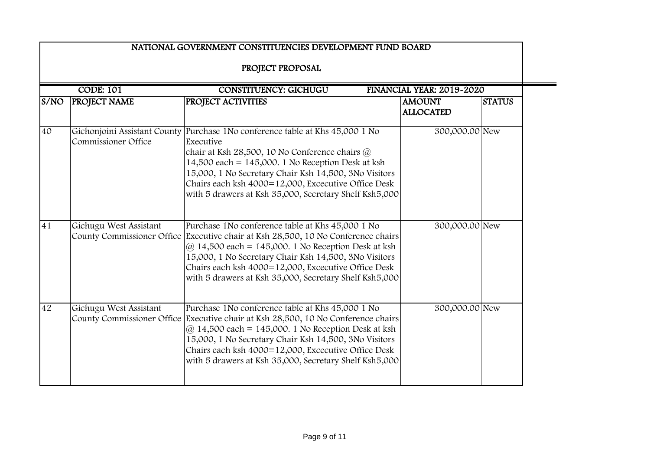|                  |                                                      | NATIONAL GOVERNMENT CONSTITUENCIES DEVELOPMENT FUND BOARD                                                                                                                                                                                                                                                                                           |                                   |               |  |  |
|------------------|------------------------------------------------------|-----------------------------------------------------------------------------------------------------------------------------------------------------------------------------------------------------------------------------------------------------------------------------------------------------------------------------------------------------|-----------------------------------|---------------|--|--|
| PROJECT PROPOSAL |                                                      |                                                                                                                                                                                                                                                                                                                                                     |                                   |               |  |  |
|                  | <b>CODE: 101</b>                                     | <b>CONSTITUENCY: GICHUGU</b>                                                                                                                                                                                                                                                                                                                        | FINANCIAL YEAR: 2019-2020         |               |  |  |
| S/NO             | <b>PROJECT NAME</b>                                  | <b>PROJECT ACTIVITIES</b>                                                                                                                                                                                                                                                                                                                           | <b>AMOUNT</b><br><b>ALLOCATED</b> | <b>STATUS</b> |  |  |
| 40               | Gichonjoini Assistant County<br>Commissioner Office  | Purchase 1No conference table at Khs 45,000 1 No<br>Executive<br>chair at Ksh 28,500, 10 No Conference chairs @<br>$14,500$ each = $145,000$ . 1 No Reception Desk at ksh<br>15,000, 1 No Secretary Chair Ksh 14,500, 3No Visitors<br>Chairs each ksh 4000=12,000, Excecutive Office Desk<br>with 5 drawers at Ksh 35,000, Secretary Shelf Ksh5,000 | 300,000.00 New                    |               |  |  |
| 41               | Gichugu West Assistant<br>County Commissioner Office | Purchase 1No conference table at Khs 45,000 1 No<br>Executive chair at Ksh 28,500, 10 No Conference chairs<br>$\omega$ 14,500 each = 145,000. 1 No Reception Desk at ksh<br>15,000, 1 No Secretary Chair Ksh 14,500, 3No Visitors<br>Chairs each ksh 4000=12,000, Excecutive Office Desk<br>with 5 drawers at Ksh 35,000, Secretary Shelf Ksh5,000  | 300,000.00 New                    |               |  |  |
| 42               | Gichugu West Assistant<br>County Commissioner Office | Purchase 1No conference table at Khs 45,000 1 No<br>Executive chair at Ksh 28,500, 10 No Conference chairs<br>$@14,500$ each = 145,000. 1 No Reception Desk at ksh<br>15,000, 1 No Secretary Chair Ksh 14,500, 3No Visitors<br>Chairs each ksh 4000=12,000, Excecutive Office Desk<br>with 5 drawers at Ksh 35,000, Secretary Shelf Ksh5,000        | 300,000.00 New                    |               |  |  |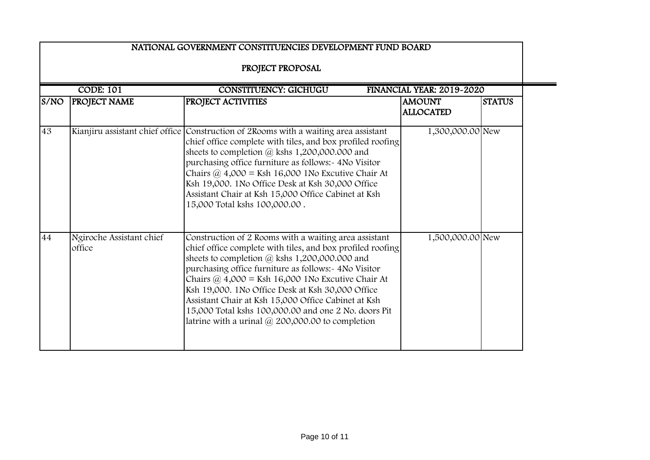|      |                                    | NATIONAL GOVERNMENT CONSTITUENCIES DEVELOPMENT FUND BOARD                                                                                                                                                                                                                                                                                                                                                                                                                                                              |                                   |               |
|------|------------------------------------|------------------------------------------------------------------------------------------------------------------------------------------------------------------------------------------------------------------------------------------------------------------------------------------------------------------------------------------------------------------------------------------------------------------------------------------------------------------------------------------------------------------------|-----------------------------------|---------------|
|      |                                    | PROJECT PROPOSAL                                                                                                                                                                                                                                                                                                                                                                                                                                                                                                       |                                   |               |
|      | <b>CODE: 101</b>                   | <b>CONSTITUENCY: GICHUGU</b>                                                                                                                                                                                                                                                                                                                                                                                                                                                                                           | FINANCIAL YEAR: 2019-2020         |               |
| S/NO | <b>PROJECT NAME</b>                | PROJECT ACTIVITIES                                                                                                                                                                                                                                                                                                                                                                                                                                                                                                     | <b>AMOUNT</b><br><b>ALLOCATED</b> | <b>STATUS</b> |
| 43   |                                    | Kianjiru assistant chief office Construction of 2Rooms with a waiting area assistant<br>chief office complete with tiles, and box profiled roofing<br>sheets to completion @ kshs 1,200,000.000 and<br>purchasing office furniture as follows:- 4No Visitor<br>Chairs $\omega$ 4,000 = Ksh 16,000 1No Excutive Chair At<br>Ksh 19,000. 1No Office Desk at Ksh 30,000 Office<br>Assistant Chair at Ksh 15,000 Office Cabinet at Ksh<br>15,000 Total kshs 100,000.00.                                                    | 1,300,000.00 New                  |               |
| 44   | Ngiroche Assistant chief<br>office | Construction of 2 Rooms with a waiting area assistant<br>chief office complete with tiles, and box profiled roofing<br>sheets to completion @ kshs 1,200,000.000 and<br>purchasing office furniture as follows:- 4No Visitor<br>Chairs $\omega$ 4,000 = Ksh 16,000 1No Excutive Chair At<br>Ksh 19,000. 1No Office Desk at Ksh 30,000 Office<br>Assistant Chair at Ksh 15,000 Office Cabinet at Ksh<br>15,000 Total kshs 100,000.00 and one 2 No. doors Pit<br>latrine with a urinal $\omega$ 200,000.00 to completion | 1,500,000.00 New                  |               |